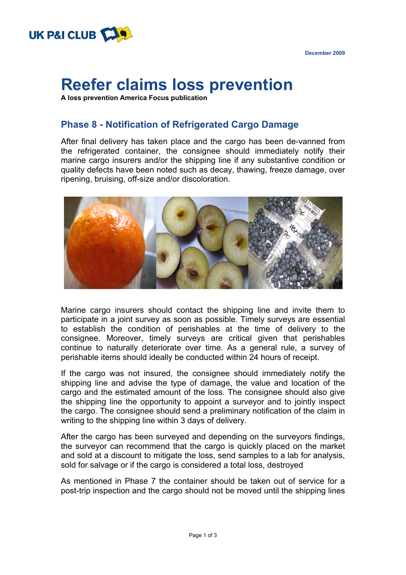

## **Reefer claims loss prevention**

**A loss prevention America Focus publication**

## **Phase 8 - Notification of Refrigerated Cargo Damage**

After final delivery has taken place and the cargo has been de-vanned from the refrigerated container, the consignee should immediately notify their marine cargo insurers and/or the shipping line if any substantive condition or quality defects have been noted such as decay, thawing, freeze damage, over ripening, bruising, off-size and/or discoloration.



Marine cargo insurers should contact the shipping line and invite them to participate in a joint survey as soon as possible. Timely surveys are essential to establish the condition of perishables at the time of delivery to the consignee. Moreover, timely surveys are critical given that perishables continue to naturally deteriorate over time. As a general rule, a survey of perishable items should ideally be conducted within 24 hours of receipt.

If the cargo was not insured, the consignee should immediately notify the shipping line and advise the type of damage, the value and location of the cargo and the estimated amount of the loss. The consignee should also give the shipping line the opportunity to appoint a surveyor and to jointly inspect the cargo. The consignee should send a preliminary notification of the claim in writing to the shipping line within 3 days of delivery.

After the cargo has been surveyed and depending on the surveyors findings, the surveyor can recommend that the cargo is quickly placed on the market and sold at a discount to mitigate the loss, send samples to a lab for analysis, sold for salvage or if the cargo is considered a total loss, destroyed

As mentioned in Phase 7 the container should be taken out of service for a post-trip inspection and the cargo should not be moved until the shipping lines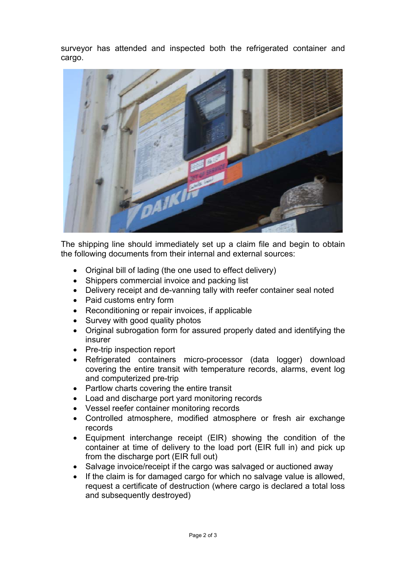surveyor has attended and inspected both the refrigerated container and cargo.



The shipping line should immediately set up a claim file and begin to obtain the following documents from their internal and external sources:

- Original bill of lading (the one used to effect delivery)
- Shippers commercial invoice and packing list
- Delivery receipt and de-vanning tally with reefer container seal noted
- Paid customs entry form
- Reconditioning or repair invoices, if applicable
- Survey with good quality photos
- Original subrogation form for assured properly dated and identifying the insurer
- Pre-trip inspection report
- Refrigerated containers micro-processor (data logger) download covering the entire transit with temperature records, alarms, event log and computerized pre-trip
- Partlow charts covering the entire transit
- Load and discharge port yard monitoring records
- Vessel reefer container monitoring records
- Controlled atmosphere, modified atmosphere or fresh air exchange records
- Equipment interchange receipt (EIR) showing the condition of the container at time of delivery to the load port (EIR full in) and pick up from the discharge port (EIR full out)
- Salvage invoice/receipt if the cargo was salvaged or auctioned away
- If the claim is for damaged cargo for which no salvage value is allowed. request a certificate of destruction (where cargo is declared a total loss and subsequently destroyed)